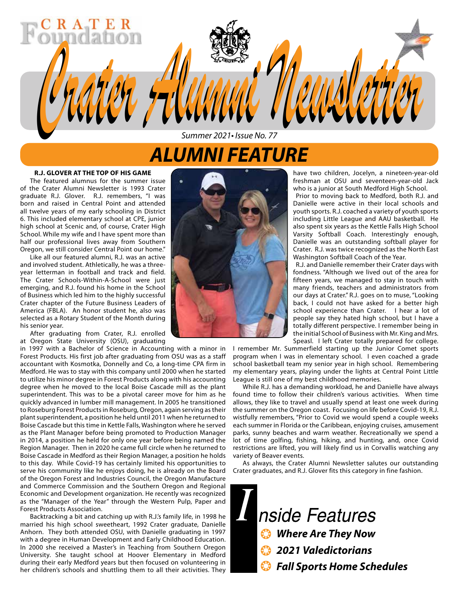# *ALUMNI FEATURE*

*Summer 2021• Issue No. 77*

*Crater Alumni Newsletter Crater Alumni Newsletter*

#### **R.J. GLOVER AT THE TOP OF HIS GAME**

The featured alumnus for the summer issue of the Crater Alumni Newsletter is 1993 Crater graduate R.J. Glover. R.J. remembers, "I was born and raised in Central Point and attended all twelve years of my early schooling in District 6. This included elementary school at CPE, junior high school at Scenic and, of course, Crater High School. While my wife and I have spent more than half our professional lives away from Southern Oregon, we still consider Central Point our home."

Like all our featured alumni, R.J. was an active and involved student. Athletically, he was a threeyear letterman in football and track and field. The Crater Schools-Within-A-School were just emerging, and R.J. found his home in the School of Business which led him to the highly successful Crater chapter of the Future Business Leaders of America (FBLA). An honor student he, also was selected as a Rotary Student of the Month during his senior year.

After graduating from Crater, R.J. enrolled at Oregon State University (OSU), graduating

in 1997 with a Bachelor of Science in Accounting with a minor in Forest Products. His first job after graduating from OSU was as a staff accountant with Kosmotka, Donnelly and Co, a long-time CPA firm in Medford. He was to stay with this company until 2000 when he started to utilize his minor degree in Forest Products along with his accounting degree when he moved to the local Boise Cascade mill as the plant superintendent. This was to be a pivotal career move for him as he quickly advanced in lumber mill management. In 2005 he transitioned to Roseburg Forest Products in Roseburg, Oregon, again serving as their plant superintendent, a position he held until 2011 when he returned to Boise Cascade but this time in Kettle Falls, Washington where he served as the Plant Manager before being promoted to Production Manager in 2014, a position he held for only one year before being named the Region Manager. Then in 2020 he came full circle when he returned to Boise Cascade in Medford as their Region Manager, a position he holds to this day. While Covid-19 has certainly limited his opportunities to serve his community like he enjoys doing, he is already on the Board of the Oregon Forest and Industries Council, the Oregon Manufacture and Commerce Commission and the Southern Oregon and Regional Economic and Development organization. He recently was recognized as the "Manager of the Year" through the Western Pulp, Paper and Forest Products Association.

Backtracking a bit and catching up with R.J.'s family life, in 1998 he married his high school sweetheart, 1992 Crater graduate, Danielle Anhorn. They both attended OSU, with Danielle graduating in 1997 with a degree in Human Development and Early Childhood Education. In 2000 she received a Master's in Teaching from Southern Oregon University. She taught school at Hoover Elementary in Medford during their early Medford years but then focused on volunteering in her children's schools and shuttling them to all their activities. They



have two children, Jocelyn, a nineteen-year-old freshman at OSU and seventeen-year-old Jack who is a junior at South Medford High School.

Prior to moving back to Medford, both R.J. and Danielle were active in their local schools and youth sports. R.J. coached a variety of youth sports including Little League and AAU basketball. He also spent six years as the Kettle Falls High School Varsity Softball Coach. Interestingly enough, Danielle was an outstanding softball player for Crater. R.J. was twice recognized as the North East Washington Softball Coach of the Year.

R.J. and Danielle remember their Crater days with fondness. "Although we lived out of the area for fifteen years, we managed to stay in touch with many friends, teachers and administrators from our days at Crater." R.J. goes on to muse, "Looking back, I could not have asked for a better high school experience than Crater. I hear a lot of people say they hated high school, but I have a totally different perspective. I remember being in the initial School of Business with Mr. King and Mrs. Speasl. I left Crater totally prepared for college.

I remember Mr. Summerfield starting up the Junior Comet sports program when I was in elementary school. I even coached a grade school basketball team my senior year in high school. Remembering my elementary years, playing under the lights at Central Point Little League is still one of my best childhood memories.

While R.J. has a demanding workload, he and Danielle have always found time to follow their children's various activities. When time allows, they like to travel and usually spend at least one week during the summer on the Oregon coast. Focusing on life before Covid-19, R.J. wistfully remembers, "Prior to Covid we would spend a couple weeks each summer in Florida or the Caribbean, enjoying cruises, amusement parks, sunny beaches and warm weather. Recreationally we spend a lot of time golfing, fishing, hiking, and hunting, and, once Covid restrictions are lifted, you will likely find us in Corvallis watching any variety of Beaver events.

As always, the Crater Alumni Newsletter salutes our outstanding Crater graduates, and R.J. Glover fits this category in fine fashion.

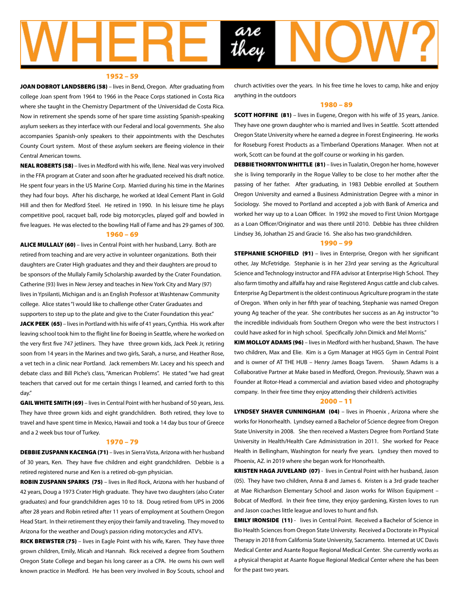

#### 1952 – 59

JOAN DOBROT LANDSBERG (58) - lives in Bend, Oregon. After graduating from college Joan spent from 1964 to 1966 in the Peace Corps stationed in Costa Rica where she taught in the Chemistry Department of the Universidad de Costa Rica. Now in retirement she spends some of her spare time assisting Spanish-speaking asylum seekers as they interface with our Federal and local governments. She also accompanies Spanish-only speakers to their appointments with the Deschutes County Court system. Most of these asylum seekers are fleeing violence in their Central American towns.

NEAL ROBERTS (58) – lives in Medford with his wife, Ilene. Neal was very involved in the FFA program at Crater and soon after he graduated received his draft notice. He spent four years in the US Marine Corp. Married during his time in the Marines they had four boys. After his discharge, he worked at Ideal Cement Plant in Gold Hill and then for Medford Steel. He retired in 1990. In his leisure time he plays competitive pool, racquet ball, rode big motorcycles, played golf and bowled in five leagues. He was elected to the bowling Hall of Fame and has 29 games of 300.

#### 1960 – 69

ALICE MULLALY (60) – lives in Central Point with her husband, Larry. Both are retired from teaching and are very active in volunteer organizations. Both their daughters are Crater High graduates and they and their daughters are proud to be sponsors of the Mullaly Family Scholarship awarded by the Crater Foundation. Catherine (93) lives in New Jersey and teaches in New York City and Mary (97) lives in Ypsilanti, Michigan and is an English Professor at Washtenaw Community college. Alice states "I would like to challenge other Crater Graduates and supporters to step up to the plate and give to the Crater Foundation this year." JACK PEEK (65) – lives in Portland with his wife of 41 years, Cynthia. His work after leaving school took him to the flight line for Boeing in Seattle, where he worked on the very first five 747 jetliners. They have three grown kids, Jack Peek Jr, retiring soon from 14 years in the Marines and two girls, Sarah, a nurse, and Heather Rose, a vet tech in a clinic near Portland. Jack remembers Mr. Lacey and his speech and debate class and Bill Piche's class, "American Problems". He stated "we had great teachers that carved out for me certain things I learned, and carried forth to this day."

GAIL WHITE SMITH (69) – lives in Central Point with her husband of 50 years, Jess. They have three grown kids and eight grandchildren. Both retired, they love to travel and have spent time in Mexico, Hawaii and took a 14 day bus tour of Greece and a 2 week bus tour of Turkey.

#### 1970 – 79

DEBBIE ZUSPANN KACENGA (71) – lives in Sierra Vista, Arizona with her husband of 30 years, Ken. They have five children and eight grandchildren. Debbie is a retired registered nurse and Ken is a retired ob-gyn physician.

ROBIN ZUSPANN SPARKS (75) – lives in Red Rock, Arizona with her husband of 42 years, Doug a 1973 Crater High graduate. They have two daughters (also Crater graduates) and four grandchildren ages 10 to 18. Doug retired from UPS in 2006 after 28 years and Robin retired after 11 years of employment at Southern Oregon Head Start. In their retirement they enjoy their family and traveling. They moved to Arizona for the weather and Doug's passion riding motorcycles and ATV's.

RICK BREWSTER (75) – lives in Eagle Point with his wife, Karen. They have three grown children, Emily, Micah and Hannah. Rick received a degree from Southern Oregon State College and began his long career as a CPA. He owns his own well known practice in Medford. He has been very involved in Boy Scouts, school and church activities over the years. In his free time he loves to camp, hike and enjoy anything in the outdoors

#### 1980 – 89

**SCOTT HOFFINE (81)** – lives in Eugene, Oregon with his wife of 35 years, Janice. They have one grown daughter who is married and lives in Seattle. Scott attended Oregon State University where he earned a degree in Forest Engineering. He works for Roseburg Forest Products as a Timberland Operations Manager. When not at work, Scott can be found at the golf course or working in his garden.

DEBBIE THORNTON WHITTLE (81) - lives in Tualatin, Oregon her home, however she is living temporarily in the Rogue Valley to be close to her mother after the passing of her father. After graduating, in 1983 Debbie enrolled at Southern Oregon University and earned a Business Administration Degree with a minor in Sociology. She moved to Portland and accepted a job with Bank of America and worked her way up to a Loan Officer. In 1992 she moved to First Union Mortgage as a Loan Officer/Originator and was there until 2010. Debbie has three children Lindsey 36, Johathan 25 and Gracie 16. She also has two grandchildren.

#### 1990 – 99

**STEPHANIE SCHOFIELD (91)** – lives in Enterprise, Oregon with her significant other, Jay McFetridge. Stephanie is in her 23rd year serving as the Agricultural Science and Technology instructor and FFA advisor at Enterprise High School. They also farm timothy and alfalfa hay and raise Registered Angus cattle and club calves. Enterprise Ag Department is the oldest continuous Agriculture program in the state of Oregon. When only in her fifth year of teaching, Stephanie was named Oregon young Ag teacher of the year. She contributes her success as an Ag instructor "to the incredible individuals from Southern Oregon who were the best instructors I could have asked for in high school. Specifically John Dimick and Mel Morris."

KIM MOLLOY ADAMS (96) – lives in Medford with her husband, Shawn. The have two children, Max and Elie. Kim is a Gym Manager at HIGS Gym in Central Point and is owner of AT THE HUB – Henry James Boags Tavern. Shawn Adams is a Collaborative Partner at Make based in Medford, Oregon. Previously, Shawn was a Founder at Rotor-Head a commercial and aviation based video and photography company. In their free time they enjoy attending their children's activities

#### $2000 - 11$

LYNDSEY SHAVER CUNNINGHAM (04) - lives in Phoenix , Arizona where she works for Honorhealth. Lyndsey earned a Bachelor of Science degree from Oregon State University in 2008. She then received a Masters Degree from Portland State University in Health/Health Care Administration in 2011. She worked for Peace Health in Bellingham, Washington for nearly five years. Lyndsey then moved to Phoenix, AZ. in 2019 where she began work for Honorhealth.

KRISTEN HAGA JUVELAND (07) - lives in Central Point with her husband, Jason (05). They have two children, Anna 8 and James 6. Kristen is a 3rd grade teacher at Mae Richardson Elementary School and Jason works for Wilson Equipment – Bobcat of Medford. In their free time, they enjoy gardening, Kirsten loves to run and Jason coaches little league and loves to hunt and fish.

**EMILY IRONSIDE (11)** - lives in Central Point. Received a Bachelor of Science in Bio Health Sciences from Oregon State University. Received a Doctorate in Physical Therapy in 2018 from California State University, Sacramento. Interned at UC Davis Medical Center and Asante Rogue Regional Medical Center. She currently works as a physical therapist at Asante Rogue Regional Medical Center where she has been for the past two years.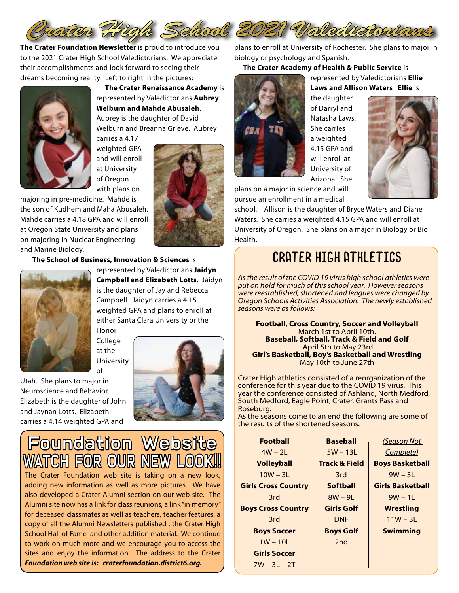

**The Crater Foundation Newsletter** is proud to introduce you to the 2021 Crater High School Valedictorians. We appreciate their accomplishments and look forward to seeing their dreams becoming reality. Left to right in the pictures:



 **The Crater Renaissance Academy** is represented by Valedictorians **Aubrey Welburn and Mahde Abusaleh**. Aubrey is the daughter of David Welburn and Breanna Grieve. Aubrey

carries a 4.17 weighted GPA and will enroll at University of Oregon with plans on

majoring in pre-medicine. Mahde is the son of Kudhem and Maha Abusaleh. Mahde carries a 4.18 GPA and will enroll at Oregon State University and plans on majoring in Nuclear Engineering and Marine Biology.



**The School of Business, Innovation & Sciences** is



represented by Valedictorians **Jaidyn Campbell and Elizabeth Lotts**. Jaidyn is the daughter of Jay and Rebecca Campbell. Jaidyn carries a 4.15 weighted GPA and plans to enroll at either Santa Clara University or the Honor

College at the University of

Utah. She plans to major in Neuroscience and Behavior. Elizabeth is the daughter of John and Jaynan Lotts. Elizabeth carries a 4.14 weighted GPA and



Foundation Website WATCH FOR OUR NE

The Crater Foundation web site is taking on a new look, adding new information as well as more pictures. We have also developed a Crater Alumni section on our web site. The Alumni site now has a link for class reunions, a link "in memory" for deceased classmates as well as teachers, teacher features, a copy of all the Alumni Newsletters published , the Crater High School Hall of Fame and other addition material. We continue to work on much more and we encourage you to access the sites and enjoy the information. The address to the Crater *Foundation web site is: craterfoundation.district6.org.* 

plans to enroll at University of Rochester. She plans to major in biology or psychology and Spanish.

### **The Crater Academy of Health & Public Service** is

represented by Valedictorians **Ellie** 

plans on a major in science and will pursue an enrollment in a medical

**Laws and Allison Waters Ellie** is the daughter of Darryl and Natasha Laws. She carries a weighted 4.15 GPA and will enroll at University of Arizona. She



school. Allison is the daughter of Bryce Waters and Diane Waters. She carries a weighted 4.15 GPA and will enroll at University of Oregon. She plans on a major in Biology or Bio Health.

## Crater High Athletics

*As the result of the COVID 19 virus high school athletics were put on hold for much of this school year. However seasons were reestablished, shortened and leagues were changed by Oregon Schools Activities Association. The newly established seasons were as follows:* 

**Football, Cross Country, Soccer and Volleyball**  March 1st to April 10th. **Baseball, Softball, Track & Field and Golf** April 5th to May 23rd **Girl's Basketball, Boy's Basketball and Wrestling** May 10th to June 27th

Crater High athletics consisted of a reorganization of the conference for this year due to the COVID 19 virus. This year the conference consisted of Ashland, North Medford, South Medford, Eagle Point, Crater, Grants Pass and Roseburg.

As the seasons come to an end the following are some of the results of the shortened seasons.

| <b>Football</b>            | <b>Baseball</b>          | (Season Not             |
|----------------------------|--------------------------|-------------------------|
| $4W - 21$                  | $5W - 13L$               | Complete)               |
| <b>Volleyball</b>          | <b>Track &amp; Field</b> | <b>Boys Basketball</b>  |
| $10W - 31$                 | 3rd                      | $9W - 31$               |
| <b>Girls Cross Country</b> | <b>Softball</b>          | <b>Girls Basketball</b> |
| 3rd                        | $8W - 9L$                | $9W - 11$               |
| <b>Boys Cross Country</b>  | <b>Girls Golf</b>        | Wrestling               |
| 3rd                        | <b>DNF</b>               | $11W - 31$              |
| <b>Boys Soccer</b>         | <b>Boys Golf</b>         | <b>Swimming</b>         |
| $1W - 10L$                 | 2nd                      |                         |
| <b>Girls Soccer</b>        |                          |                         |
| $7W - 3L - 2T$             |                          |                         |
|                            |                          |                         |